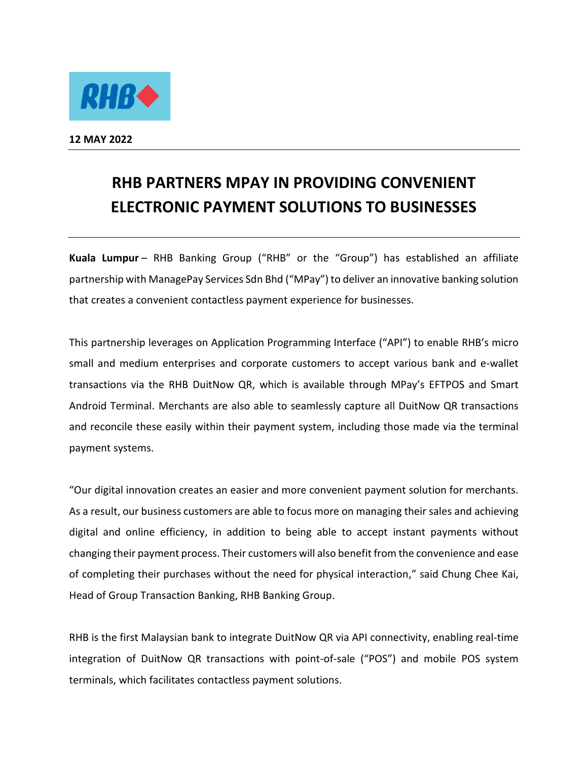

**12 MAY 2022** 

## **RHB PARTNERS MPAY IN PROVIDING CONVENIENT ELECTRONIC PAYMENT SOLUTIONS TO BUSINESSES**

**Kuala Lumpur** – RHB Banking Group ("RHB" or the "Group") has established an affiliate partnership with ManagePay Services Sdn Bhd ("MPay") to deliver an innovative banking solution that creates a convenient contactless payment experience for businesses.

This partnership leverages on Application Programming Interface ("API") to enable RHB's micro small and medium enterprises and corporate customers to accept various bank and e-wallet transactions via the RHB DuitNow QR, which is available through MPay's EFTPOS and Smart Android Terminal. Merchants are also able to seamlessly capture all DuitNow QR transactions and reconcile these easily within their payment system, including those made via the terminal payment systems.

"Our digital innovation creates an easier and more convenient payment solution for merchants. As a result, our business customers are able to focus more on managing their sales and achieving digital and online efficiency, in addition to being able to accept instant payments without changing their payment process. Their customers will also benefit from the convenience and ease of completing their purchases without the need for physical interaction," said Chung Chee Kai, Head of Group Transaction Banking, RHB Banking Group.

RHB is the first Malaysian bank to integrate DuitNow QR via API connectivity, enabling real-time integration of DuitNow QR transactions with point-of-sale ("POS") and mobile POS system terminals, which facilitates contactless payment solutions.